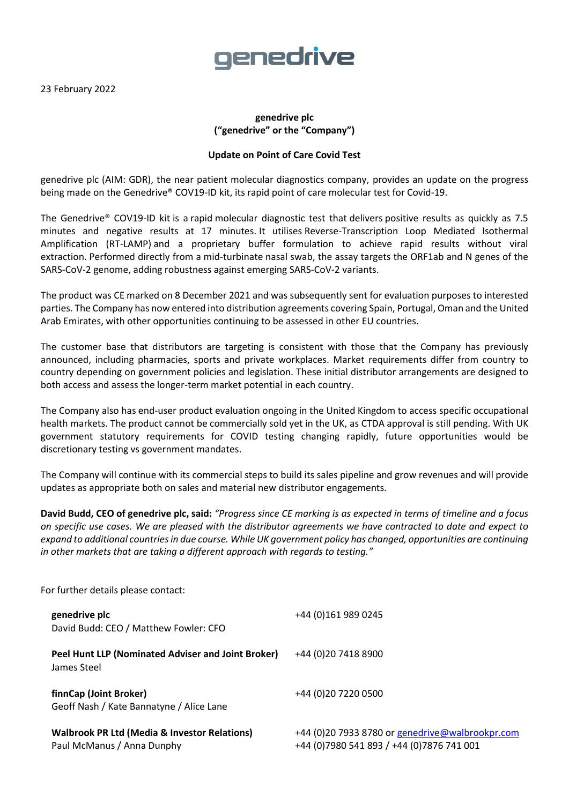23 February 2022

## genedrive

## **genedrive plc ("genedrive" or the "Company")**

## **Update on Point of Care Covid Test**

genedrive plc (AIM: GDR), the near patient molecular diagnostics company, provides an update on the progress being made on the Genedrive® COV19-ID kit, its rapid point of care molecular test for Covid-19.

The Genedrive® COV19-ID kit is a rapid molecular diagnostic test that delivers positive results as quickly as 7.5 minutes and negative results at 17 minutes. It utilises Reverse-Transcription Loop Mediated Isothermal Amplification (RT-LAMP) and a proprietary buffer formulation to achieve rapid results without viral extraction. Performed directly from a mid-turbinate nasal swab, the assay targets the ORF1ab and N genes of the SARS-CoV-2 genome, adding robustness against emerging SARS-CoV-2 variants.

The product was CE marked on 8 December 2021 and was subsequently sent for evaluation purposes to interested parties. The Company has now entered into distribution agreements covering Spain, Portugal, Oman and the United Arab Emirates, with other opportunities continuing to be assessed in other EU countries.

The customer base that distributors are targeting is consistent with those that the Company has previously announced, including pharmacies, sports and private workplaces. Market requirements differ from country to country depending on government policies and legislation. These initial distributor arrangements are designed to both access and assess the longer-term market potential in each country.

The Company also has end-user product evaluation ongoing in the United Kingdom to access specific occupational health markets. The product cannot be commercially sold yet in the UK, as CTDA approval is still pending. With UK government statutory requirements for COVID testing changing rapidly, future opportunities would be discretionary testing vs government mandates.

The Company will continue with its commercial steps to build its sales pipeline and grow revenues and will provide updates as appropriate both on sales and material new distributor engagements.

**David Budd, CEO of genedrive plc, said:** *"Progress since CE marking is as expected in terms of timeline and a focus on specific use cases. We are pleased with the distributor agreements we have contracted to date and expect to expand to additional countriesin due course. While UK government policy has changed, opportunities are continuing in other markets that are taking a different approach with regards to testing."* 

For further details please contact: **genedrive plc** +44 (0)161 989 0245 David Budd: CEO / Matthew Fowler: CFO **Peel Hunt LLP (Nominated Adviser and Joint Broker)** +44 (0)20 7418 8900 James Steel **finnCap (Joint Broker)** +44 (0)20 7220 0500 Geoff Nash / Kate Bannatyne / Alice Lane **Walbrook PR Ltd (Media & Investor Relations)** +44 (0)20 7933 8780 o[r genedrive@walbrookpr.com](mailto:genedrive@walbrookpr.com) Paul McManus / Anna Dunphy +44 (0)7980 541 893 / +44 (0)7876 741 001